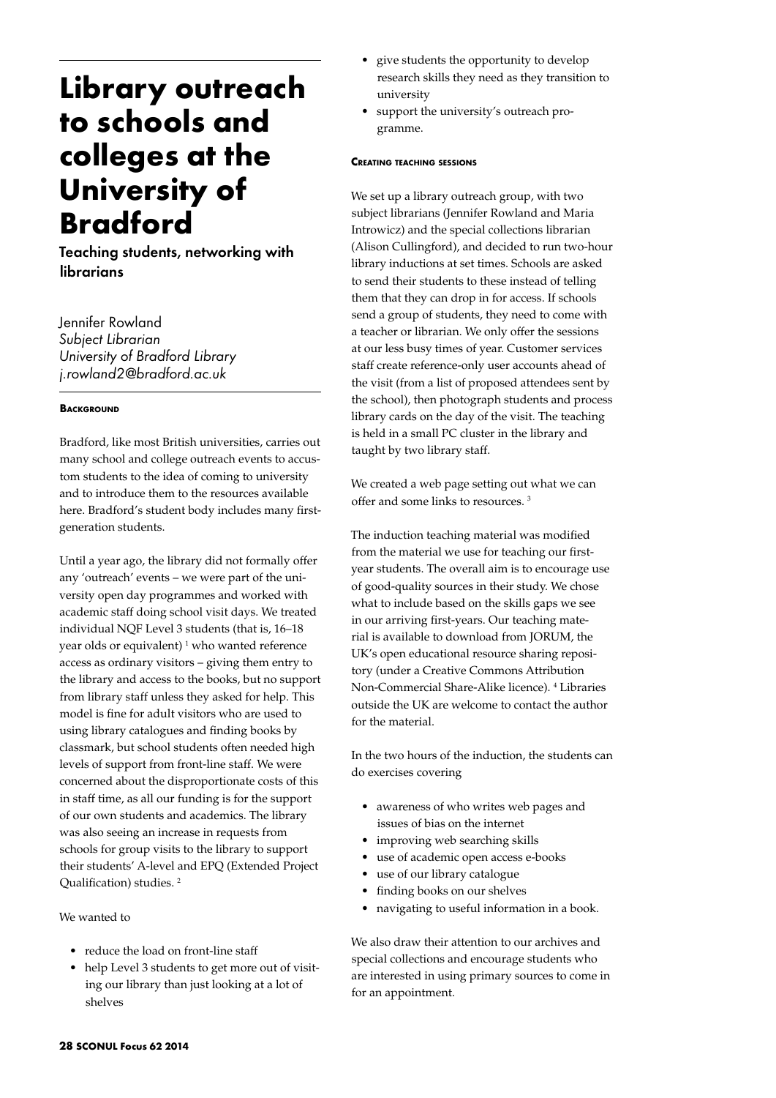# **Library outreach to schools and colleges at the University of Bradford**

Teaching students, networking with librarians

Jennifer Rowland *Subject Librarian University of Bradford Library j.rowland2@bradford.ac.uk*

# **BACKGROUND**

Bradford, like most British universities, carries out many school and college outreach events to accustom students to the idea of coming to university and to introduce them to the resources available here. Bradford's student body includes many firstgeneration students.

Until a year ago, the library did not formally offer any 'outreach' events – we were part of the university open day programmes and worked with academic staff doing school visit days. We treated individual NQF Level 3 students (that is, 16–18 year olds or equivalent)<sup>1</sup> who wanted reference access as ordinary visitors – giving them entry to the library and access to the books, but no support from library staff unless they asked for help. This model is fine for adult visitors who are used to using library catalogues and finding books by classmark, but school students often needed high levels of support from front-line staff. We were concerned about the disproportionate costs of this in staff time, as all our funding is for the support of our own students and academics. The library was also seeing an increase in requests from schools for group visits to the library to support their students' A-level and EPQ (Extended Project Qualification) studies. 2

We wanted to

- reduce the load on front-line staff
- help Level 3 students to get more out of visiting our library than just looking at a lot of shelves
- give students the opportunity to develop research skills they need as they transition to university
- support the university's outreach programme.

### **Creating teaching sessions**

We set up a library outreach group, with two subject librarians (Jennifer Rowland and Maria Introwicz) and the special collections librarian (Alison Cullingford), and decided to run two-hour library inductions at set times. Schools are asked to send their students to these instead of telling them that they can drop in for access. If schools send a group of students, they need to come with a teacher or librarian. We only offer the sessions at our less busy times of year. Customer services staff create reference-only user accounts ahead of the visit (from a list of proposed attendees sent by the school), then photograph students and process library cards on the day of the visit. The teaching is held in a small PC cluster in the library and taught by two library staff.

We created a web page setting out what we can offer and some links to resources. 3

The induction teaching material was modified from the material we use for teaching our firstyear students. The overall aim is to encourage use of good-quality sources in their study. We chose what to include based on the skills gaps we see in our arriving first-years. Our teaching material is available to download from JORUM, the UK's open educational resource sharing repository (under a Creative Commons Attribution Non-Commercial Share-Alike licence). 4 Libraries outside the UK are welcome to contact the author for the material.

In the two hours of the induction, the students can do exercises covering

- • awareness of who writes web pages and issues of bias on the internet
- improving web searching skills
- • use of academic open access e-books
- use of our library catalogue
- • finding books on our shelves
- navigating to useful information in a book.

We also draw their attention to our archives and special collections and encourage students who are interested in using primary sources to come in for an appointment.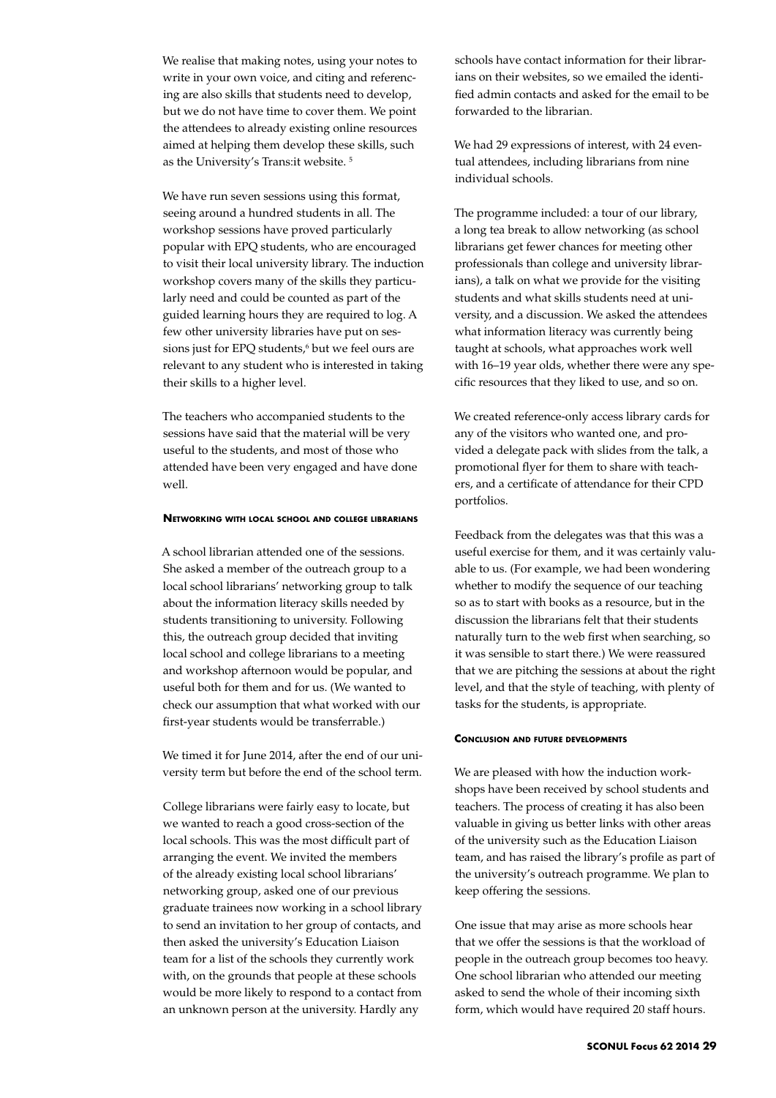We realise that making notes, using your notes to write in your own voice, and citing and referencing are also skills that students need to develop, but we do not have time to cover them. We point the attendees to already existing online resources aimed at helping them develop these skills, such as the University's Trans:it website. 5

We have run seven sessions using this format, seeing around a hundred students in all. The workshop sessions have proved particularly popular with EPQ students, who are encouraged to visit their local university library. The induction workshop covers many of the skills they particularly need and could be counted as part of the guided learning hours they are required to log. A few other university libraries have put on sessions just for EPQ students,<sup>6</sup> but we feel ours are relevant to any student who is interested in taking their skills to a higher level.

The teachers who accompanied students to the sessions have said that the material will be very useful to the students, and most of those who attended have been very engaged and have done well.

#### **Networking with local school and college librarians**

A school librarian attended one of the sessions. She asked a member of the outreach group to a local school librarians' networking group to talk about the information literacy skills needed by students transitioning to university. Following this, the outreach group decided that inviting local school and college librarians to a meeting and workshop afternoon would be popular, and useful both for them and for us. (We wanted to check our assumption that what worked with our first-year students would be transferrable.)

We timed it for June 2014, after the end of our university term but before the end of the school term.

College librarians were fairly easy to locate, but we wanted to reach a good cross-section of the local schools. This was the most difficult part of arranging the event. We invited the members of the already existing local school librarians' networking group, asked one of our previous graduate trainees now working in a school library to send an invitation to her group of contacts, and then asked the university's Education Liaison team for a list of the schools they currently work with, on the grounds that people at these schools would be more likely to respond to a contact from an unknown person at the university. Hardly any

schools have contact information for their librarians on their websites, so we emailed the identified admin contacts and asked for the email to be forwarded to the librarian.

We had 29 expressions of interest, with 24 eventual attendees, including librarians from nine individual schools.

The programme included: a tour of our library, a long tea break to allow networking (as school librarians get fewer chances for meeting other professionals than college and university librarians), a talk on what we provide for the visiting students and what skills students need at university, and a discussion. We asked the attendees what information literacy was currently being taught at schools, what approaches work well with 16–19 year olds, whether there were any specific resources that they liked to use, and so on.

We created reference-only access library cards for any of the visitors who wanted one, and provided a delegate pack with slides from the talk, a promotional flyer for them to share with teachers, and a certificate of attendance for their CPD portfolios.

Feedback from the delegates was that this was a useful exercise for them, and it was certainly valuable to us. (For example, we had been wondering whether to modify the sequence of our teaching so as to start with books as a resource, but in the discussion the librarians felt that their students naturally turn to the web first when searching, so it was sensible to start there.) We were reassured that we are pitching the sessions at about the right level, and that the style of teaching, with plenty of tasks for the students, is appropriate.

#### **Conclusion and future developments**

We are pleased with how the induction workshops have been received by school students and teachers. The process of creating it has also been valuable in giving us better links with other areas of the university such as the Education Liaison team, and has raised the library's profile as part of the university's outreach programme. We plan to keep offering the sessions.

One issue that may arise as more schools hear that we offer the sessions is that the workload of people in the outreach group becomes too heavy. One school librarian who attended our meeting asked to send the whole of their incoming sixth form, which would have required 20 staff hours.